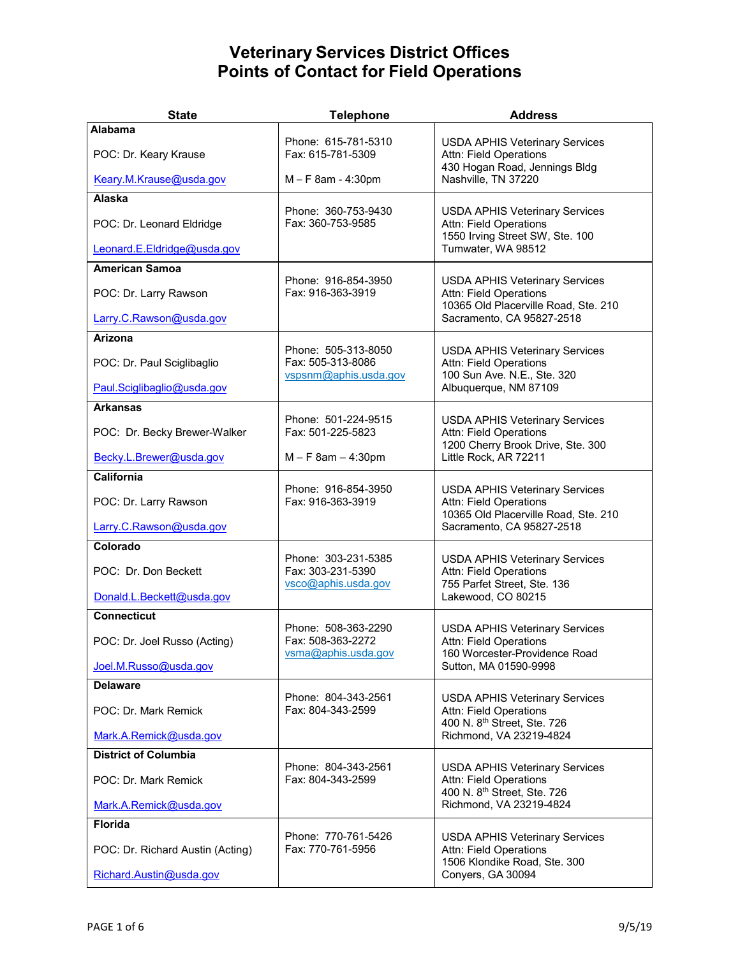| <b>State</b>                     | <b>Telephone</b>                                                  | <b>Address</b>                                                                                             |
|----------------------------------|-------------------------------------------------------------------|------------------------------------------------------------------------------------------------------------|
| <b>Alabama</b>                   |                                                                   |                                                                                                            |
| POC: Dr. Keary Krause            | Phone: 615-781-5310<br>Fax: 615-781-5309                          | <b>USDA APHIS Veterinary Services</b><br>Attn: Field Operations                                            |
| Keary.M.Krause@usda.gov          | M-F 8am - 4:30pm                                                  | 430 Hogan Road, Jennings Bldg<br>Nashville, TN 37220                                                       |
| Alaska                           |                                                                   |                                                                                                            |
| POC: Dr. Leonard Eldridge        | Phone: 360-753-9430<br>Fax: 360-753-9585                          | <b>USDA APHIS Veterinary Services</b><br>Attn: Field Operations<br>1550 Irving Street SW, Ste. 100         |
| Leonard.E.Eldridge@usda.gov      |                                                                   | Tumwater, WA 98512                                                                                         |
| <b>American Samoa</b>            |                                                                   |                                                                                                            |
| POC: Dr. Larry Rawson            | Phone: 916-854-3950<br>Fax: 916-363-3919                          | <b>USDA APHIS Veterinary Services</b><br>Attn: Field Operations<br>10365 Old Placerville Road, Ste. 210    |
| Larry.C.Rawson@usda.gov          |                                                                   | Sacramento, CA 95827-2518                                                                                  |
| Arizona                          |                                                                   |                                                                                                            |
| POC: Dr. Paul Sciglibaglio       | Phone: 505-313-8050<br>Fax: 505-313-8086<br>vspsnm@aphis.usda.gov | <b>USDA APHIS Veterinary Services</b><br>Attn: Field Operations<br>100 Sun Ave. N.E., Ste. 320             |
| Paul.Sciglibaglio@usda.gov       |                                                                   | Albuquerque, NM 87109                                                                                      |
| <b>Arkansas</b>                  |                                                                   |                                                                                                            |
| POC: Dr. Becky Brewer-Walker     | Phone: 501-224-9515<br>Fax: 501-225-5823                          | <b>USDA APHIS Veterinary Services</b><br>Attn: Field Operations<br>1200 Cherry Brook Drive, Ste. 300       |
| Becky.L.Brewer@usda.gov          | $M - F$ 8am $- 4:30$ pm                                           | Little Rock, AR 72211                                                                                      |
| <b>California</b>                |                                                                   |                                                                                                            |
| POC: Dr. Larry Rawson            | Phone: 916-854-3950<br>Fax: 916-363-3919                          | <b>USDA APHIS Veterinary Services</b><br>Attn: Field Operations<br>10365 Old Placerville Road, Ste. 210    |
| Larry.C.Rawson@usda.gov          |                                                                   | Sacramento, CA 95827-2518                                                                                  |
| Colorado                         |                                                                   |                                                                                                            |
| POC: Dr. Don Beckett             | Phone: 303-231-5385<br>Fax: 303-231-5390<br>vsco@aphis.usda.gov   | <b>USDA APHIS Veterinary Services</b><br>Attn: Field Operations<br>755 Parfet Street, Ste. 136             |
| Donald.L.Beckett@usda.gov        |                                                                   | Lakewood, CO 80215                                                                                         |
| <b>Connecticut</b>               |                                                                   |                                                                                                            |
| POC: Dr. Joel Russo (Acting)     | Phone: 508-363-2290<br>Fax: 508-363-2272<br>vsma@aphis.usda.gov   | <b>USDA APHIS Veterinary Services</b><br>Attn: Field Operations<br>160 Worcester-Providence Road           |
| Joel.M.Russo@usda.gov            |                                                                   | Sutton, MA 01590-9998                                                                                      |
| <b>Delaware</b>                  |                                                                   |                                                                                                            |
| POC: Dr. Mark Remick             | Phone: 804-343-2561<br>Fax: 804-343-2599                          | <b>USDA APHIS Veterinary Services</b><br>Attn: Field Operations<br>400 N. 8 <sup>th</sup> Street, Ste. 726 |
| Mark.A.Remick@usda.gov           |                                                                   | Richmond, VA 23219-4824                                                                                    |
| <b>District of Columbia</b>      |                                                                   |                                                                                                            |
| POC: Dr. Mark Remick             | Phone: 804-343-2561<br>Fax: 804-343-2599                          | <b>USDA APHIS Veterinary Services</b><br>Attn: Field Operations<br>400 N. 8th Street, Ste. 726             |
| Mark.A.Remick@usda.gov           |                                                                   | Richmond, VA 23219-4824                                                                                    |
| <b>Florida</b>                   |                                                                   |                                                                                                            |
| POC: Dr. Richard Austin (Acting) | Phone: 770-761-5426<br>Fax: 770-761-5956                          | <b>USDA APHIS Veterinary Services</b><br>Attn: Field Operations<br>1506 Klondike Road, Ste. 300            |
| Richard.Austin@usda.gov          |                                                                   | Conyers, GA 30094                                                                                          |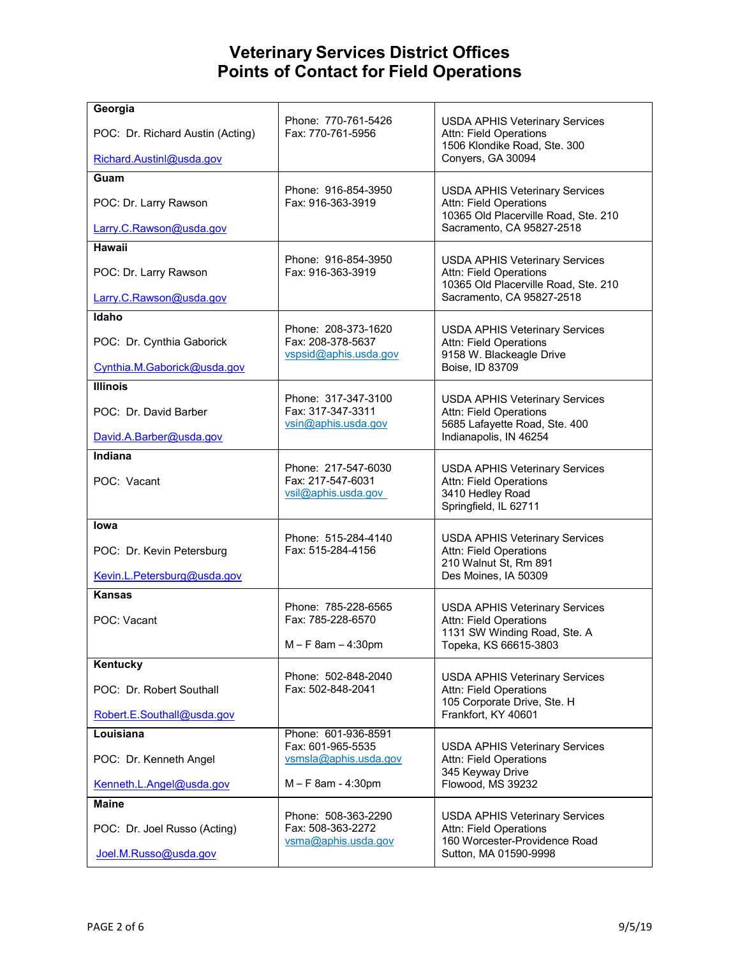| Georgia                          |                                                                   |                                                                                                              |
|----------------------------------|-------------------------------------------------------------------|--------------------------------------------------------------------------------------------------------------|
| POC: Dr. Richard Austin (Acting) | Phone: 770-761-5426<br>Fax: 770-761-5956                          | <b>USDA APHIS Veterinary Services</b><br><b>Attn: Field Operations</b><br>1506 Klondike Road, Ste. 300       |
| Richard.Austinl@usda.gov         |                                                                   | Conyers, GA 30094                                                                                            |
| Guam                             |                                                                   |                                                                                                              |
| POC: Dr. Larry Rawson            | Phone: 916-854-3950<br>Fax: 916-363-3919                          | <b>USDA APHIS Veterinary Services</b><br>Attn: Field Operations<br>10365 Old Placerville Road, Ste. 210      |
| Larry.C.Rawson@usda.gov          |                                                                   | Sacramento, CA 95827-2518                                                                                    |
| <b>Hawaii</b>                    |                                                                   |                                                                                                              |
| POC: Dr. Larry Rawson            | Phone: 916-854-3950<br>Fax: 916-363-3919                          | <b>USDA APHIS Veterinary Services</b><br>Attn: Field Operations<br>10365 Old Placerville Road, Ste. 210      |
| Larry.C.Rawson@usda.gov          |                                                                   | Sacramento, CA 95827-2518                                                                                    |
| Idaho                            |                                                                   |                                                                                                              |
| POC: Dr. Cynthia Gaborick        | Phone: 208-373-1620<br>Fax: 208-378-5637<br>vspsid@aphis.usda.gov | <b>USDA APHIS Veterinary Services</b><br>Attn: Field Operations<br>9158 W. Blackeagle Drive                  |
| Cynthia.M.Gaborick@usda.gov      |                                                                   | Boise, ID 83709                                                                                              |
| <b>Illinois</b>                  |                                                                   |                                                                                                              |
| POC: Dr. David Barber            | Phone: 317-347-3100<br>Fax: 317-347-3311<br>vsin@aphis.usda.gov   | <b>USDA APHIS Veterinary Services</b><br>Attn: Field Operations<br>5685 Lafayette Road, Ste. 400             |
| David.A.Barber@usda.gov          |                                                                   | Indianapolis, IN 46254                                                                                       |
| Indiana                          |                                                                   |                                                                                                              |
| POC: Vacant                      | Phone: 217-547-6030<br>Fax: 217-547-6031<br>vsil@aphis.usda.gov   | <b>USDA APHIS Veterinary Services</b><br>Attn: Field Operations<br>3410 Hedley Road<br>Springfield, IL 62711 |
| lowa                             |                                                                   |                                                                                                              |
| POC: Dr. Kevin Petersburg        | Phone: 515-284-4140<br>Fax: 515-284-4156                          | <b>USDA APHIS Veterinary Services</b><br>Attn: Field Operations<br>210 Walnut St, Rm 891                     |
| Kevin.L.Petersburg@usda.gov      |                                                                   | Des Moines, IA 50309                                                                                         |
| <b>Kansas</b>                    |                                                                   |                                                                                                              |
| POC: Vacant                      | Phone: 785-228-6565<br>Fax: 785-228-6570                          | <b>USDA APHIS Veterinary Services</b><br>Attn: Field Operations<br>1131 SW Winding Road, Ste. A              |
|                                  | $M - F$ 8am $- 4:30$ pm                                           | Topeka, KS 66615-3803                                                                                        |
| Kentucky                         |                                                                   |                                                                                                              |
| POC: Dr. Robert Southall         | Phone: 502-848-2040<br>Fax: 502-848-2041                          | <b>USDA APHIS Veterinary Services</b><br>Attn: Field Operations<br>105 Corporate Drive, Ste. H               |
| Robert.E.Southall@usda.gov       |                                                                   | Frankfort, KY 40601                                                                                          |
| Louisiana                        | Phone: 601-936-8591                                               |                                                                                                              |
| POC: Dr. Kenneth Angel           | Fax: 601-965-5535<br>vsmsla@aphis.usda.gov                        | <b>USDA APHIS Veterinary Services</b><br>Attn: Field Operations<br>345 Keyway Drive                          |
| Kenneth.L.Angel@usda.gov         | M - F 8am - 4:30pm                                                | Flowood, MS 39232                                                                                            |
| <b>Maine</b>                     |                                                                   |                                                                                                              |
| POC: Dr. Joel Russo (Acting)     | Phone: 508-363-2290<br>Fax: 508-363-2272<br>vsma@aphis.usda.gov   | <b>USDA APHIS Veterinary Services</b><br>Attn: Field Operations<br>160 Worcester-Providence Road             |
| Joel.M.Russo@usda.gov            |                                                                   | Sutton, MA 01590-9998                                                                                        |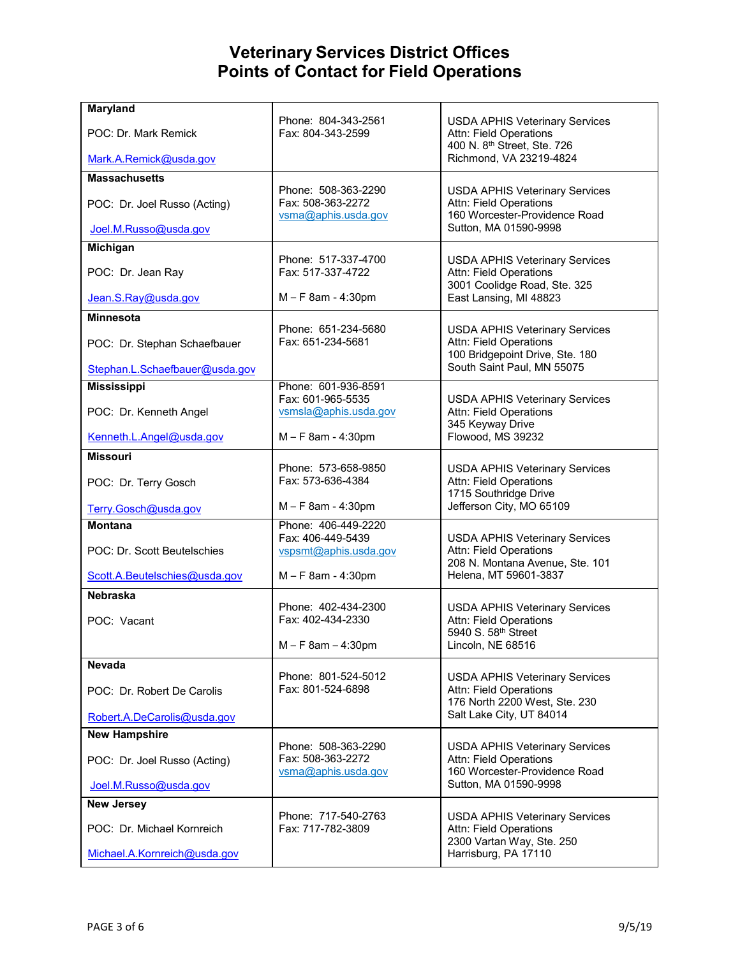| <b>Maryland</b>                |                                                                 |                                                                                                            |
|--------------------------------|-----------------------------------------------------------------|------------------------------------------------------------------------------------------------------------|
| POC: Dr. Mark Remick           | Phone: 804-343-2561<br>Fax: 804-343-2599                        | <b>USDA APHIS Veterinary Services</b><br>Attn: Field Operations<br>400 N. 8 <sup>th</sup> Street, Ste. 726 |
| Mark.A.Remick@usda.gov         |                                                                 | Richmond, VA 23219-4824                                                                                    |
| <b>Massachusetts</b>           |                                                                 |                                                                                                            |
| POC: Dr. Joel Russo (Acting)   | Phone: 508-363-2290<br>Fax: 508-363-2272<br>vsma@aphis.usda.gov | <b>USDA APHIS Veterinary Services</b><br>Attn: Field Operations<br>160 Worcester-Providence Road           |
| Joel.M.Russo@usda.gov          |                                                                 | Sutton, MA 01590-9998                                                                                      |
| <b>Michigan</b>                | Phone: 517-337-4700                                             |                                                                                                            |
| POC: Dr. Jean Ray              | Fax: 517-337-4722                                               | <b>USDA APHIS Veterinary Services</b><br>Attn: Field Operations<br>3001 Coolidge Road, Ste. 325            |
| Jean.S.Ray@usda.gov            | M - F 8am - 4:30pm                                              | East Lansing, MI 48823                                                                                     |
| <b>Minnesota</b>               |                                                                 |                                                                                                            |
| POC: Dr. Stephan Schaefbauer   | Phone: 651-234-5680<br>Fax: 651-234-5681                        | <b>USDA APHIS Veterinary Services</b><br>Attn: Field Operations<br>100 Bridgepoint Drive, Ste. 180         |
| Stephan.L.Schaefbauer@usda.gov |                                                                 | South Saint Paul, MN 55075                                                                                 |
| <b>Mississippi</b>             | Phone: 601-936-8591<br>Fax: 601-965-5535                        | <b>USDA APHIS Veterinary Services</b>                                                                      |
| POC: Dr. Kenneth Angel         | vsmsla@aphis.usda.gov                                           | Attn: Field Operations<br>345 Keyway Drive                                                                 |
| Kenneth.L.Angel@usda.gov       | M - F 8am - 4:30pm                                              | Flowood, MS 39232                                                                                          |
| <b>Missouri</b>                |                                                                 |                                                                                                            |
| POC: Dr. Terry Gosch           | Phone: 573-658-9850<br>Fax: 573-636-4384                        | <b>USDA APHIS Veterinary Services</b><br>Attn: Field Operations<br>1715 Southridge Drive                   |
| Terry.Gosch@usda.gov           | M - F 8am - 4:30pm                                              | Jefferson City, MO 65109                                                                                   |
| <b>Montana</b>                 | Phone: 406-449-2220                                             |                                                                                                            |
| POC: Dr. Scott Beutelschies    | Fax: 406-449-5439<br>vspsmt@aphis.usda.gov                      | <b>USDA APHIS Veterinary Services</b><br>Attn: Field Operations<br>208 N. Montana Avenue, Ste. 101         |
| Scott.A.Beutelschies@usda.gov  | M - F 8am - 4:30pm                                              | Helena, MT 59601-3837                                                                                      |
| <b>Nebraska</b>                |                                                                 |                                                                                                            |
| POC: Vacant                    | Phone: 402-434-2300<br>Fax: 402-434-2330                        | <b>USDA APHIS Veterinary Services</b><br>Attn: Field Operations<br>5940 S. 58 <sup>th</sup> Street         |
|                                | $M - F$ 8am $- 4:30$ pm                                         | Lincoln, NE 68516                                                                                          |
| <b>Nevada</b>                  |                                                                 |                                                                                                            |
| POC: Dr. Robert De Carolis     | Phone: 801-524-5012<br>Fax: 801-524-6898                        | <b>USDA APHIS Veterinary Services</b><br><b>Attn: Field Operations</b><br>176 North 2200 West, Ste. 230    |
| Robert.A.DeCarolis@usda.gov    |                                                                 | Salt Lake City, UT 84014                                                                                   |
| <b>New Hampshire</b>           |                                                                 |                                                                                                            |
| POC: Dr. Joel Russo (Acting)   | Phone: 508-363-2290<br>Fax: 508-363-2272<br>vsma@aphis.usda.gov | <b>USDA APHIS Veterinary Services</b><br>Attn: Field Operations<br>160 Worcester-Providence Road           |
| Joel.M.Russo@usda.gov          |                                                                 | Sutton, MA 01590-9998                                                                                      |
| <b>New Jersey</b>              |                                                                 |                                                                                                            |
| POC: Dr. Michael Kornreich     | Phone: 717-540-2763<br>Fax: 717-782-3809                        | <b>USDA APHIS Veterinary Services</b><br>Attn: Field Operations<br>2300 Vartan Way, Ste. 250               |
| Michael.A.Kornreich@usda.gov   |                                                                 | Harrisburg, PA 17110                                                                                       |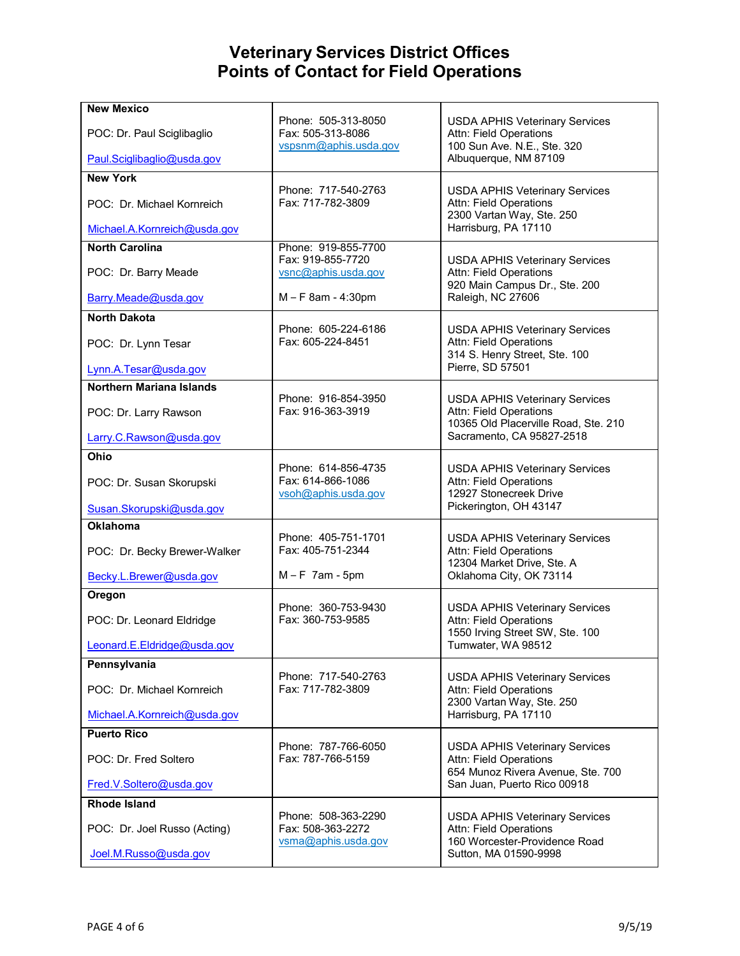| <b>New Mexico</b>               |                                                                   |                                                                                                         |
|---------------------------------|-------------------------------------------------------------------|---------------------------------------------------------------------------------------------------------|
| POC: Dr. Paul Sciglibaglio      | Phone: 505-313-8050<br>Fax: 505-313-8086<br>vspsnm@aphis.usda.gov | <b>USDA APHIS Veterinary Services</b><br>Attn: Field Operations<br>100 Sun Ave. N.E., Ste. 320          |
| Paul.Sciglibaglio@usda.gov      |                                                                   | Albuquerque, NM 87109                                                                                   |
| <b>New York</b>                 | Phone: 717-540-2763                                               |                                                                                                         |
| POC: Dr. Michael Kornreich      | Fax: 717-782-3809                                                 | <b>USDA APHIS Veterinary Services</b><br>Attn: Field Operations<br>2300 Vartan Way, Ste. 250            |
| Michael.A.Kornreich@usda.gov    |                                                                   | Harrisburg, PA 17110                                                                                    |
| <b>North Carolina</b>           | Phone: 919-855-7700<br>Fax: 919-855-7720                          | <b>USDA APHIS Veterinary Services</b>                                                                   |
| POC: Dr. Barry Meade            | vsnc@aphis.usda.gov                                               | Attn: Field Operations<br>920 Main Campus Dr., Ste. 200                                                 |
| Barry.Meade@usda.gov            | M-F 8am - 4:30pm                                                  | Raleigh, NC 27606                                                                                       |
| <b>North Dakota</b>             |                                                                   |                                                                                                         |
| POC: Dr. Lynn Tesar             | Phone: 605-224-6186<br>Fax: 605-224-8451                          | <b>USDA APHIS Veterinary Services</b><br>Attn: Field Operations<br>314 S. Henry Street, Ste. 100        |
| Lynn.A.Tesar@usda.gov           |                                                                   | Pierre, SD 57501                                                                                        |
| <b>Northern Mariana Islands</b> | Phone: 916-854-3950                                               |                                                                                                         |
| POC: Dr. Larry Rawson           | Fax: 916-363-3919                                                 | <b>USDA APHIS Veterinary Services</b><br>Attn: Field Operations<br>10365 Old Placerville Road, Ste. 210 |
| Larry.C.Rawson@usda.gov         |                                                                   | Sacramento, CA 95827-2518                                                                               |
| Ohio                            |                                                                   |                                                                                                         |
| POC: Dr. Susan Skorupski        | Phone: 614-856-4735<br>Fax: 614-866-1086<br>vsoh@aphis.usda.gov   | <b>USDA APHIS Veterinary Services</b><br>Attn: Field Operations<br>12927 Stonecreek Drive               |
| Susan.Skorupski@usda.gov        |                                                                   | Pickerington, OH 43147                                                                                  |
| <b>Oklahoma</b>                 |                                                                   |                                                                                                         |
| POC: Dr. Becky Brewer-Walker    | Phone: 405-751-1701<br>Fax: 405-751-2344                          | <b>USDA APHIS Veterinary Services</b><br>Attn: Field Operations                                         |
|                                 |                                                                   | 12304 Market Drive, Ste. A                                                                              |
| Becky.L.Brewer@usda.gov         | $M - F$ 7am - 5pm                                                 | Oklahoma City, OK 73114                                                                                 |
| Oregon                          | Phone: 360-753-9430                                               | <b>USDA APHIS Veterinary Services</b>                                                                   |
| POC: Dr. Leonard Eldridge       | Fax: 360-753-9585                                                 | Attn: Field Operations<br>1550 Irving Street SW, Ste. 100                                               |
| Leonard.E.Eldridge@usda.gov     |                                                                   | Tumwater, WA 98512                                                                                      |
| Pennsylvania                    |                                                                   |                                                                                                         |
| POC: Dr. Michael Kornreich      | Phone: 717-540-2763<br>Fax: 717-782-3809                          | <b>USDA APHIS Veterinary Services</b><br>Attn: Field Operations<br>2300 Vartan Way, Ste. 250            |
| Michael.A.Kornreich@usda.gov    |                                                                   | Harrisburg, PA 17110                                                                                    |
| <b>Puerto Rico</b>              |                                                                   |                                                                                                         |
| POC: Dr. Fred Soltero           | Phone: 787-766-6050<br>Fax: 787-766-5159                          | <b>USDA APHIS Veterinary Services</b><br>Attn: Field Operations<br>654 Munoz Rivera Avenue, Ste. 700    |
| Fred.V.Soltero@usda.gov         |                                                                   | San Juan, Puerto Rico 00918                                                                             |
| <b>Rhode Island</b>             |                                                                   |                                                                                                         |
| POC: Dr. Joel Russo (Acting)    | Phone: 508-363-2290<br>Fax: 508-363-2272<br>vsma@aphis.usda.gov   | <b>USDA APHIS Veterinary Services</b><br>Attn: Field Operations<br>160 Worcester-Providence Road        |
| Joel.M.Russo@usda.gov           |                                                                   | Sutton, MA 01590-9998                                                                                   |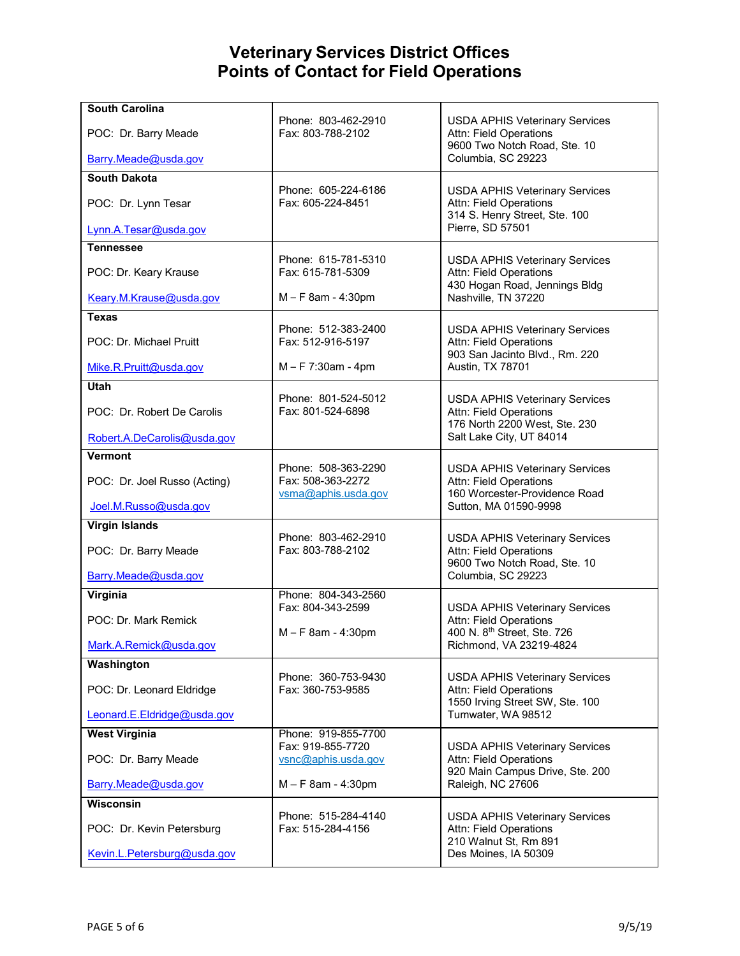| <b>South Carolina</b>        |                                                                 |                                                                                                    |
|------------------------------|-----------------------------------------------------------------|----------------------------------------------------------------------------------------------------|
| POC: Dr. Barry Meade         | Phone: 803-462-2910<br>Fax: 803-788-2102                        | <b>USDA APHIS Veterinary Services</b><br>Attn: Field Operations<br>9600 Two Notch Road, Ste. 10    |
| Barry.Meade@usda.gov         |                                                                 | Columbia, SC 29223                                                                                 |
| <b>South Dakota</b>          | Phone: 605-224-6186                                             |                                                                                                    |
| POC: Dr. Lynn Tesar          | Fax: 605-224-8451                                               | <b>USDA APHIS Veterinary Services</b><br>Attn: Field Operations<br>314 S. Henry Street, Ste. 100   |
| Lynn.A.Tesar@usda.gov        |                                                                 | Pierre, SD 57501                                                                                   |
| <b>Tennessee</b>             | Phone: 615-781-5310                                             | <b>USDA APHIS Veterinary Services</b>                                                              |
| POC: Dr. Keary Krause        | Fax: 615-781-5309                                               | Attn: Field Operations<br>430 Hogan Road, Jennings Bldg                                            |
| Keary.M.Krause@usda.gov      | M - F 8am - 4:30pm                                              | Nashville, TN 37220                                                                                |
| <b>Texas</b>                 |                                                                 |                                                                                                    |
| POC: Dr. Michael Pruitt      | Phone: 512-383-2400<br>Fax: 512-916-5197                        | <b>USDA APHIS Veterinary Services</b><br>Attn: Field Operations<br>903 San Jacinto Blvd., Rm. 220  |
| Mike.R.Pruitt@usda.gov       | M-F 7:30am - 4pm                                                | Austin, TX 78701                                                                                   |
| <b>Utah</b>                  |                                                                 |                                                                                                    |
| POC: Dr. Robert De Carolis   | Phone: 801-524-5012<br>Fax: 801-524-6898                        | <b>USDA APHIS Veterinary Services</b><br>Attn: Field Operations<br>176 North 2200 West, Ste. 230   |
| Robert.A.DeCarolis@usda.gov  |                                                                 | Salt Lake City, UT 84014                                                                           |
| <b>Vermont</b>               |                                                                 |                                                                                                    |
| POC: Dr. Joel Russo (Acting) | Phone: 508-363-2290<br>Fax: 508-363-2272<br>vsma@aphis.usda.gov | <b>USDA APHIS Veterinary Services</b><br>Attn: Field Operations<br>160 Worcester-Providence Road   |
| Joel.M.Russo@usda.gov        |                                                                 | Sutton, MA 01590-9998                                                                              |
| <b>Virgin Islands</b>        |                                                                 |                                                                                                    |
|                              | Phone: 803-462-2910                                             | <b>USDA APHIS Veterinary Services</b>                                                              |
| POC: Dr. Barry Meade         | Fax: 803-788-2102                                               | Attn: Field Operations<br>9600 Two Notch Road, Ste. 10                                             |
| Barry.Meade@usda.gov         |                                                                 | Columbia, SC 29223                                                                                 |
| Virginia                     | Phone: 804-343-2560                                             |                                                                                                    |
| POC: Dr. Mark Remick         | Fax: 804-343-2599                                               | <b>USDA APHIS Veterinary Services</b><br>Attn: Field Operations                                    |
|                              | $M - F$ 8am - 4:30pm                                            | 400 N. 8th Street, Ste. 726                                                                        |
| Mark.A.Remick@usda.gov       |                                                                 | Richmond, VA 23219-4824                                                                            |
| Washington                   |                                                                 |                                                                                                    |
| POC: Dr. Leonard Eldridge    | Phone: 360-753-9430<br>Fax: 360-753-9585                        | <b>USDA APHIS Veterinary Services</b><br>Attn: Field Operations<br>1550 Irving Street SW, Ste. 100 |
| Leonard.E.Eldridge@usda.gov  |                                                                 | Tumwater, WA 98512                                                                                 |
| <b>West Virginia</b>         | Phone: 919-855-7700                                             |                                                                                                    |
| POC: Dr. Barry Meade         | Fax: 919-855-7720<br>vsnc@aphis.usda.gov                        | <b>USDA APHIS Veterinary Services</b><br>Attn: Field Operations<br>920 Main Campus Drive, Ste. 200 |
| Barry.Meade@usda.gov         | M - F 8am - 4:30pm                                              | Raleigh, NC 27606                                                                                  |
| Wisconsin                    |                                                                 |                                                                                                    |
| POC: Dr. Kevin Petersburg    | Phone: 515-284-4140<br>Fax: 515-284-4156                        | <b>USDA APHIS Veterinary Services</b><br>Attn: Field Operations<br>210 Walnut St, Rm 891           |
| Kevin.L.Petersburg@usda.gov  |                                                                 | Des Moines, IA 50309                                                                               |